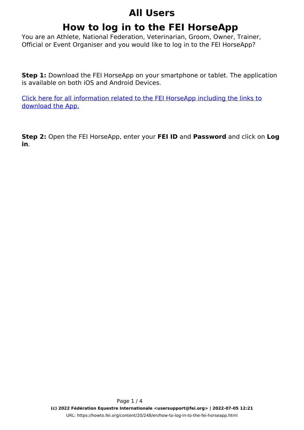## **All Users**

# **How to log in to the FEI HorseApp**

You are an Athlete, National Federation, Veterinarian, Groom, Owner, Trainer, Official or Event Organiser and you would like to log in to the FEI HorseApp?

**Step 1:** Download the FEI HorseApp on your smartphone or tablet. The application is available on both iOS and Android Devices.

[Click here for all information related to the FEI HorseApp including the links to](https://inside.fei.org/hub/it-services/mobile-apps/%20fei_horseapp) [download the App.](https://inside.fei.org/hub/it-services/mobile-apps/%20fei_horseapp)

**Step 2:** Open the FEI HorseApp, enter your **FEI ID** and **Password** and click on **Log in**.

> Page 1 / 4 **(c) 2022 Fédération Equestre Internationale <usersupport@fei.org> | 2022-07-05 12:21** [URL: https://howto.fei.org/content/20/248/en/how-to-log-in-to-the-fei-horseapp.html](https://howto.fei.org/content/20/248/en/how-to-log-in-to-the-fei-horseapp.html)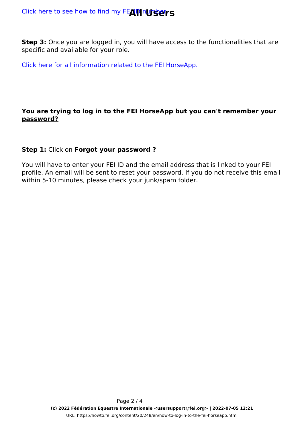**Step 3:** Once you are logged in, you will have access to the functionalities that are specific and available for your role.

[Click here for all information related to the FEI HorseApp.](https://inside.fei.org/hub/it-services/mobile-apps/%20fei_horseapp)

### **You are trying to log in to the FEI HorseApp but you can't remember your password?**

## **Step 1:** Click on **Forgot your password ?**

You will have to enter your FEI ID and the email address that is linked to your FEI profile. An email will be sent to reset your password. If you do not receive this email within 5-10 minutes, please check your junk/spam folder.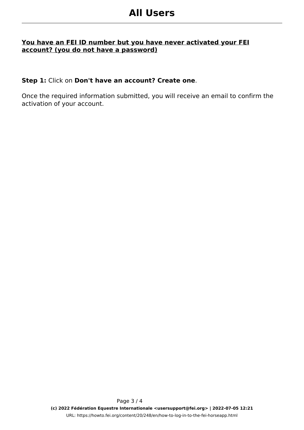#### **You have an FEI ID number but you have never activated your FEI account? (you do not have a password)**

#### **Step 1:** Click on **Don't have an account? Create one**.

Once the required information submitted, you will receive an email to confirm the activation of your account.

> Page 3 / 4 **(c) 2022 Fédération Equestre Internationale <usersupport@fei.org> | 2022-07-05 12:21** [URL: https://howto.fei.org/content/20/248/en/how-to-log-in-to-the-fei-horseapp.html](https://howto.fei.org/content/20/248/en/how-to-log-in-to-the-fei-horseapp.html)